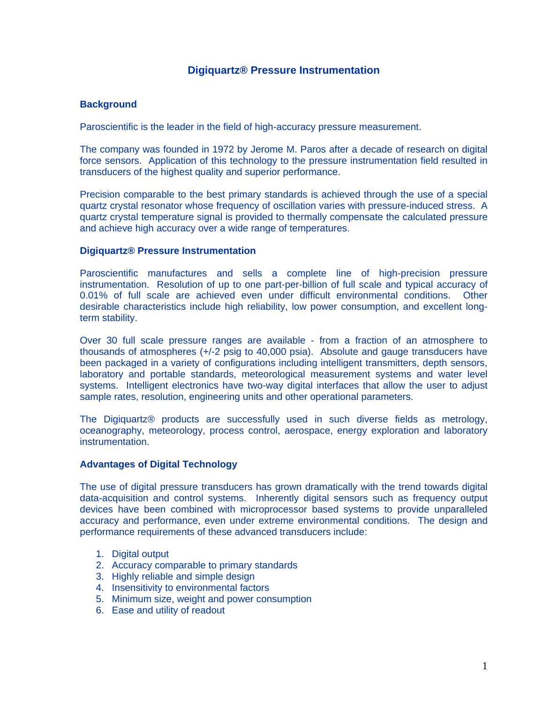## **Digiquartz® Pressure Instrumentation**

## **Background**

Paroscientific is the leader in the field of high-accuracy pressure measurement.

The company was founded in 1972 by Jerome M. Paros after a decade of research on digital force sensors. Application of this technology to the pressure instrumentation field resulted in transducers of the highest quality and superior performance.

Precision comparable to the best primary standards is achieved through the use of a special quartz crystal resonator whose frequency of oscillation varies with pressure-induced stress. A quartz crystal temperature signal is provided to thermally compensate the calculated pressure and achieve high accuracy over a wide range of temperatures.

#### **Digiquartz® Pressure Instrumentation**

Paroscientific manufactures and sells a complete line of high-precision pressure instrumentation. Resolution of up to one part-per-billion of full scale and typical accuracy of 0.01% of full scale are achieved even under difficult environmental conditions. Other desirable characteristics include high reliability, low power consumption, and excellent longterm stability.

Over 30 full scale pressure ranges are available - from a fraction of an atmosphere to thousands of atmospheres (+/-2 psig to 40,000 psia). Absolute and gauge transducers have been packaged in a variety of configurations including intelligent transmitters, depth sensors, laboratory and portable standards, meteorological measurement systems and water level systems. Intelligent electronics have two-way digital interfaces that allow the user to adjust sample rates, resolution, engineering units and other operational parameters.

The Digiquartz® products are successfully used in such diverse fields as metrology, oceanography, meteorology, process control, aerospace, energy exploration and laboratory instrumentation.

## **Advantages of Digital Technology**

The use of digital pressure transducers has grown dramatically with the trend towards digital data-acquisition and control systems. Inherently digital sensors such as frequency output devices have been combined with microprocessor based systems to provide unparalleled accuracy and performance, even under extreme environmental conditions. The design and performance requirements of these advanced transducers include:

- 1. Digital output
- 2. Accuracy comparable to primary standards
- 3. Highly reliable and simple design
- 4. Insensitivity to environmental factors
- 5. Minimum size, weight and power consumption
- 6. Ease and utility of readout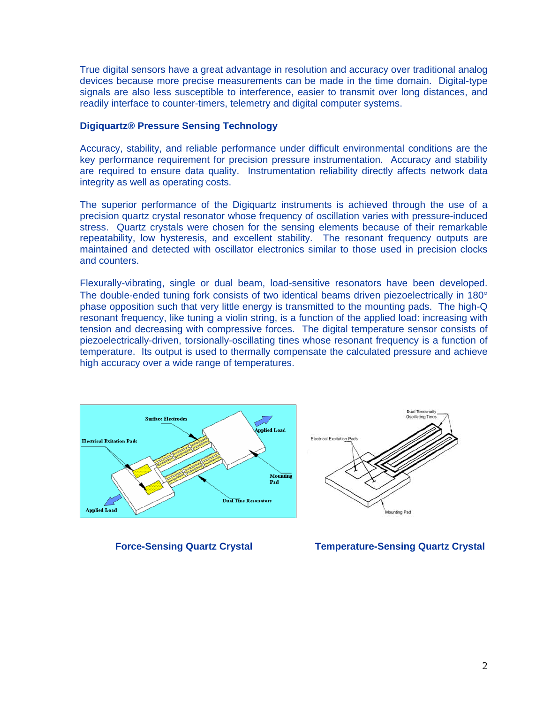True digital sensors have a great advantage in resolution and accuracy over traditional analog devices because more precise measurements can be made in the time domain. Digital-type signals are also less susceptible to interference, easier to transmit over long distances, and readily interface to counter-timers, telemetry and digital computer systems.

#### **Digiquartz® Pressure Sensing Technology**

Accuracy, stability, and reliable performance under difficult environmental conditions are the key performance requirement for precision pressure instrumentation. Accuracy and stability are required to ensure data quality. Instrumentation reliability directly affects network data integrity as well as operating costs.

The superior performance of the Digiquartz instruments is achieved through the use of a precision quartz crystal resonator whose frequency of oscillation varies with pressure-induced stress. Quartz crystals were chosen for the sensing elements because of their remarkable repeatability, low hysteresis, and excellent stability. The resonant frequency outputs are maintained and detected with oscillator electronics similar to those used in precision clocks and counters.

Flexurally-vibrating, single or dual beam, load-sensitive resonators have been developed. The double-ended tuning fork consists of two identical beams driven piezoelectrically in 180 $^{\circ}$ phase opposition such that very little energy is transmitted to the mounting pads. The high-Q resonant frequency, like tuning a violin string, is a function of the applied load: increasing with tension and decreasing with compressive forces. The digital temperature sensor consists of piezoelectrically-driven, torsionally-oscillating tines whose resonant frequency is a function of temperature. Its output is used to thermally compensate the calculated pressure and achieve high accuracy over a wide range of temperatures.





 **Force-Sensing Quartz Crystal Temperature-Sensing Quartz Crystal**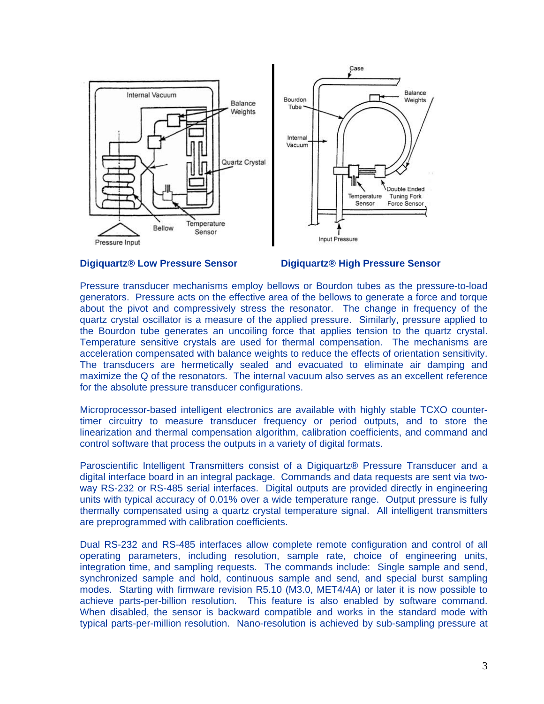

#### **Digiquartz® Low Pressure Sensor Digiquartz® High Pressure Sensor**

Pressure transducer mechanisms employ bellows or Bourdon tubes as the pressure-to-load generators. Pressure acts on the effective area of the bellows to generate a force and torque about the pivot and compressively stress the resonator. The change in frequency of the quartz crystal oscillator is a measure of the applied pressure. Similarly, pressure applied to the Bourdon tube generates an uncoiling force that applies tension to the quartz crystal. Temperature sensitive crystals are used for thermal compensation. The mechanisms are acceleration compensated with balance weights to reduce the effects of orientation sensitivity. The transducers are hermetically sealed and evacuated to eliminate air damping and maximize the Q of the resonators. The internal vacuum also serves as an excellent reference for the absolute pressure transducer configurations.

Microprocessor-based intelligent electronics are available with highly stable TCXO countertimer circuitry to measure transducer frequency or period outputs, and to store the linearization and thermal compensation algorithm, calibration coefficients, and command and control software that process the outputs in a variety of digital formats.

Paroscientific Intelligent Transmitters consist of a Digiquartz® Pressure Transducer and a digital interface board in an integral package. Commands and data requests are sent via twoway RS-232 or RS-485 serial interfaces. Digital outputs are provided directly in engineering units with typical accuracy of 0.01% over a wide temperature range. Output pressure is fully thermally compensated using a quartz crystal temperature signal. All intelligent transmitters are preprogrammed with calibration coefficients.

Dual RS-232 and RS-485 interfaces allow complete remote configuration and control of all operating parameters, including resolution, sample rate, choice of engineering units, integration time, and sampling requests. The commands include: Single sample and send, synchronized sample and hold, continuous sample and send, and special burst sampling modes. Starting with firmware revision R5.10 (M3.0, MET4/4A) or later it is now possible to achieve parts-per-billion resolution. This feature is also enabled by software command. When disabled, the sensor is backward compatible and works in the standard mode with typical parts-per-million resolution. Nano-resolution is achieved by sub-sampling pressure at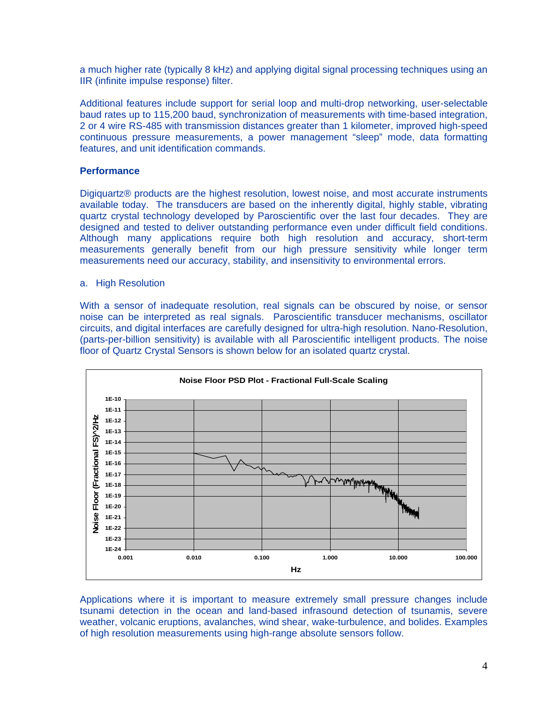a much higher rate (typically 8 kHz) and applying digital signal processing techniques using an IIR (infinite impulse response) filter.

Additional features include support for serial loop and multi-drop networking, user-selectable baud rates up to 115,200 baud, synchronization of measurements with time-based integration, 2 or 4 wire RS-485 with transmission distances greater than 1 kilometer, improved high-speed continuous pressure measurements, a power management "sleep" mode, data formatting features, and unit identification commands.

## **Performance**

Digiquartz® products are the highest resolution, lowest noise, and most accurate instruments available today. The transducers are based on the inherently digital, highly stable, vibrating quartz crystal technology developed by Paroscientific over the last four decades. They are designed and tested to deliver outstanding performance even under difficult field conditions. Although many applications require both high resolution and accuracy, short-term measurements generally benefit from our high pressure sensitivity while longer term measurements need our accuracy, stability, and insensitivity to environmental errors.

### a. High Resolution

With a sensor of inadequate resolution, real signals can be obscured by noise, or sensor noise can be interpreted as real signals. Paroscientific transducer mechanisms, oscillator circuits, and digital interfaces are carefully designed for ultra-high resolution. Nano-Resolution, (parts-per-billion sensitivity) is available with all Paroscientific intelligent products. The noise floor of Quartz Crystal Sensors is shown below for an isolated quartz crystal.



Applications where it is important to measure extremely small pressure changes include tsunami detection in the ocean and land-based infrasound detection of tsunamis, severe weather, volcanic eruptions, avalanches, wind shear, wake-turbulence, and bolides. Examples of high resolution measurements using high-range absolute sensors follow.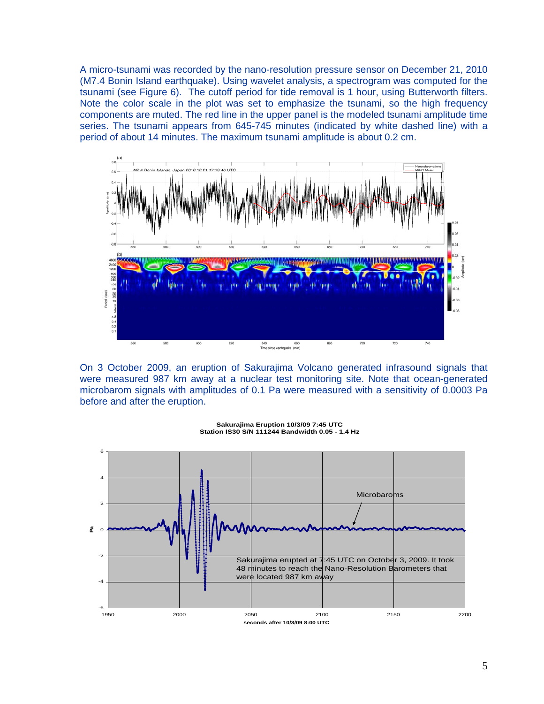A micro-tsunami was recorded by the nano-resolution pressure sensor on December 21, 2010 (M7.4 Bonin Island earthquake). Using wavelet analysis, a spectrogram was computed for the tsunami (see Figure 6). The cutoff period for tide removal is 1 hour, using Butterworth filters. Note the color scale in the plot was set to emphasize the tsunami, so the high frequency components are muted. The red line in the upper panel is the modeled tsunami amplitude time series. The tsunami appears from 645-745 minutes (indicated by white dashed line) with a period of about 14 minutes. The maximum tsunami amplitude is about 0.2 cm.



On 3 October 2009, an eruption of Sakurajima Volcano generated infrasound signals that were measured 987 km away at a nuclear test monitoring site. Note that ocean-generated microbarom signals with amplitudes of 0.1 Pa were measured with a sensitivity of 0.0003 Pa before and after the eruption.



**Sakurajima Eruption 10/3/09 7:45 UTC Station IS30 S/N 111244 Bandwidth 0.05 - 1.4 Hz**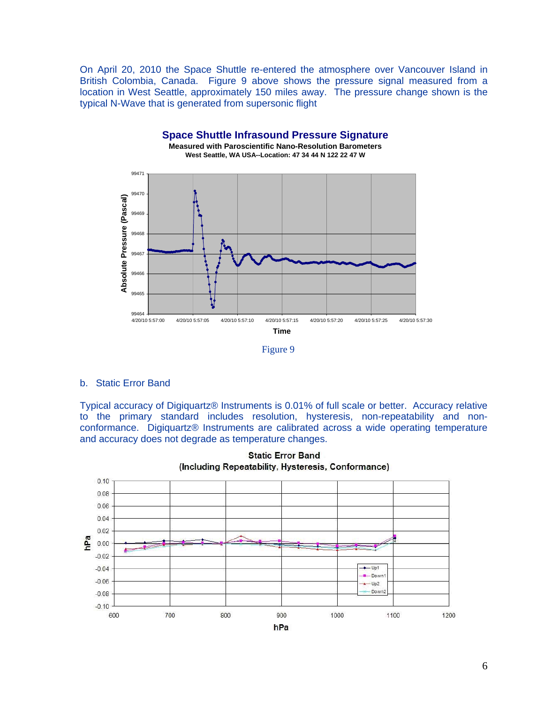On April 20, 2010 the Space Shuttle re-entered the atmosphere over Vancouver Island in British Colombia, Canada. Figure 9 above shows the pressure signal measured from a location in West Seattle, approximately 150 miles away. The pressure change shown is the typical N-Wave that is generated from supersonic flight



### b. Static Error Band

Typical accuracy of Digiquartz® Instruments is 0.01% of full scale or better. Accuracy relative to the primary standard includes resolution, hysteresis, non-repeatability and nonconformance. Digiquartz® Instruments are calibrated across a wide operating temperature and accuracy does not degrade as temperature changes.



**Static Error Band**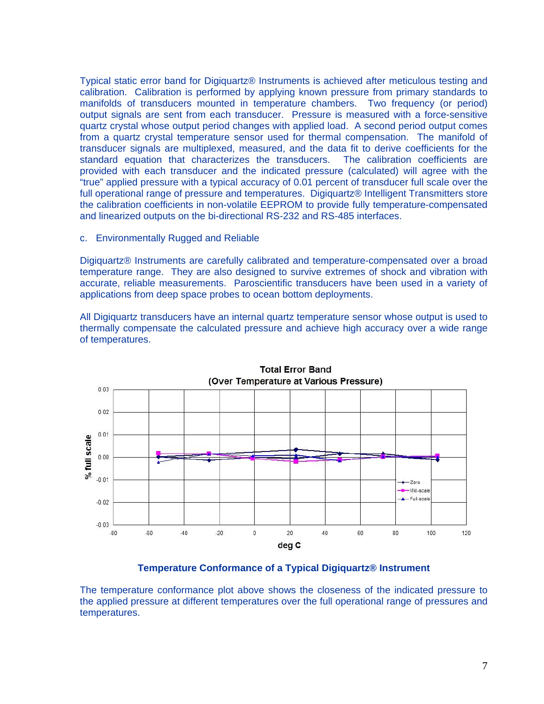Typical static error band for Digiquartz® Instruments is achieved after meticulous testing and calibration. Calibration is performed by applying known pressure from primary standards to manifolds of transducers mounted in temperature chambers. Two frequency (or period) output signals are sent from each transducer. Pressure is measured with a force-sensitive quartz crystal whose output period changes with applied load. A second period output comes from a quartz crystal temperature sensor used for thermal compensation. The manifold of transducer signals are multiplexed, measured, and the data fit to derive coefficients for the standard equation that characterizes the transducers. The calibration coefficients are provided with each transducer and the indicated pressure (calculated) will agree with the "true" applied pressure with a typical accuracy of 0.01 percent of transducer full scale over the full operational range of pressure and temperatures. Digiquartz® Intelligent Transmitters store the calibration coefficients in non-volatile EEPROM to provide fully temperature-compensated and linearized outputs on the bi-directional RS-232 and RS-485 interfaces.

#### c. Environmentally Rugged and Reliable

Digiquartz® Instruments are carefully calibrated and temperature-compensated over a broad temperature range. They are also designed to survive extremes of shock and vibration with accurate, reliable measurements. Paroscientific transducers have been used in a variety of applications from deep space probes to ocean bottom deployments.

All Digiquartz transducers have an internal quartz temperature sensor whose output is used to thermally compensate the calculated pressure and achieve high accuracy over a wide range of temperatures.



### **Temperature Conformance of a Typical Digiquartz® Instrument**

The temperature conformance plot above shows the closeness of the indicated pressure to the applied pressure at different temperatures over the full operational range of pressures and temperatures.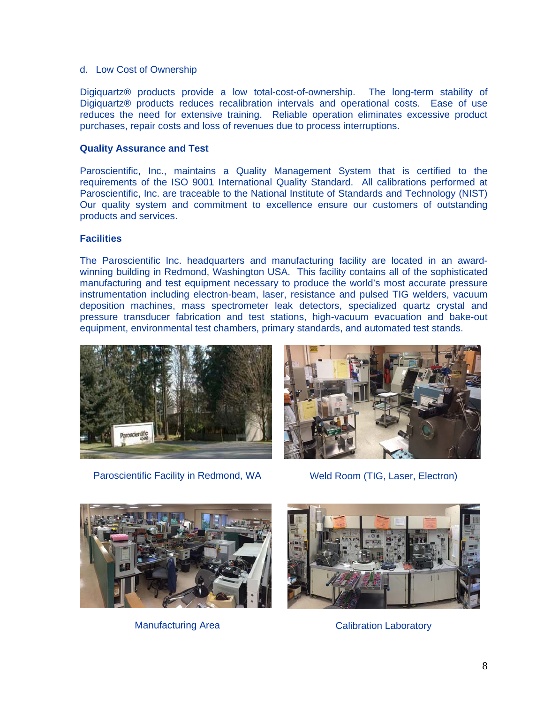### d. Low Cost of Ownership

Digiquartz® products provide a low total-cost-of-ownership. The long-term stability of Digiquartz® products reduces recalibration intervals and operational costs. Ease of use reduces the need for extensive training. Reliable operation eliminates excessive product purchases, repair costs and loss of revenues due to process interruptions.

## **Quality Assurance and Test**

Paroscientific, Inc., maintains a Quality Management System that is certified to the requirements of the ISO 9001 International Quality Standard. All calibrations performed at Paroscientific, Inc. are traceable to the National Institute of Standards and Technology (NIST) Our quality system and commitment to excellence ensure our customers of outstanding products and services.

# **Facilities**

The Paroscientific Inc. headquarters and manufacturing facility are located in an awardwinning building in Redmond, Washington USA. This facility contains all of the sophisticated manufacturing and test equipment necessary to produce the world's most accurate pressure instrumentation including electron-beam, laser, resistance and pulsed TIG welders, vacuum deposition machines, mass spectrometer leak detectors, specialized quartz crystal and pressure transducer fabrication and test stations, high-vacuum evacuation and bake-out equipment, environmental test chambers, primary standards, and automated test stands.



Paroscientific Facility in Redmond, WA Weld Room (TIG, Laser, Electron)







Manufacturing Area **Calibration Laboratory**